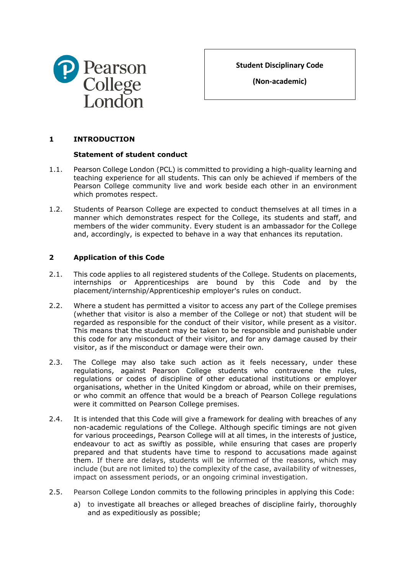

**Student Disciplinary Code**

**(Non-academic)**

# **1 INTRODUCTION**

## **Statement of student conduct**

- 1.1. Pearson College London (PCL) is committed to providing a high-quality learning and teaching experience for all students. This can only be achieved if members of the Pearson College community live and work beside each other in an environment which promotes respect.
- 1.2. Students of Pearson College are expected to conduct themselves at all times in a manner which demonstrates respect for the College, its students and staff, and members of the wider community. Every student is an ambassador for the College and, accordingly, is expected to behave in a way that enhances its reputation.

# <span id="page-0-0"></span>**2 Application of this Code**

- 2.1. This code applies to all registered students of the College. Students on placements, internships or Apprenticeships are bound by this Code and by the placement/internship/Apprenticeship employer's rules on conduct.
- 2.2. Where a student has permitted a visitor to access any part of the College premises (whether that visitor is also a member of the College or not) that student will be regarded as responsible for the conduct of their visitor, while present as a visitor. This means that the student may be taken to be responsible and punishable under this code for any misconduct of their visitor, and for any damage caused by their visitor, as if the misconduct or damage were their own.
- 2.3. The College may also take such action as it feels necessary, under these regulations, against Pearson College students who contravene the rules, regulations or codes of discipline of other educational institutions or employer organisations, whether in the United Kingdom or abroad, while on their premises, or who commit an offence that would be a breach of Pearson College regulations were it committed on Pearson College premises.
- 2.4. It is intended that this Code will give a framework for dealing with breaches of any non-academic regulations of the College. Although specific timings are not given for various proceedings, Pearson College will at all times, in the interests of justice, endeavour to act as swiftly as possible, while ensuring that cases are properly prepared and that students have time to respond to accusations made against them. If there are delays, students will be informed of the reasons, which may include (but are not limited to) the complexity of the case, availability of witnesses, impact on assessment periods, or an ongoing criminal investigation.
- 2.5. Pearson College London commits to the following principles in applying this Code:
	- a) to investigate all breaches or alleged breaches of discipline fairly, thoroughly and as expeditiously as possible;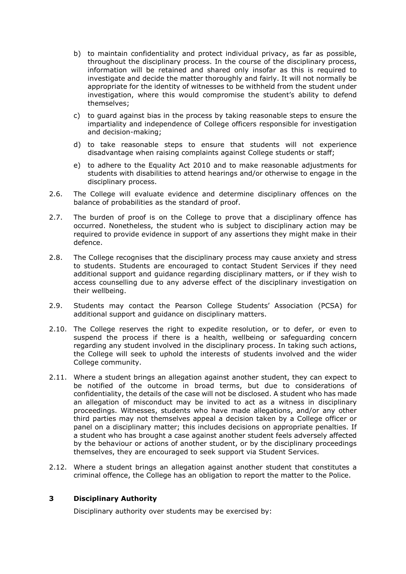- b) to maintain confidentiality and protect individual privacy, as far as possible, throughout the disciplinary process. In the course of the disciplinary process, information will be retained and shared only insofar as this is required to investigate and decide the matter thoroughly and fairly. It will not normally be appropriate for the identity of witnesses to be withheld from the student under investigation, where this would compromise the student's ability to defend themselves;
- c) to guard against bias in the process by taking reasonable steps to ensure the impartiality and independence of College officers responsible for investigation and decision-making;
- d) to take reasonable steps to ensure that students will not experience disadvantage when raising complaints against College students or staff;
- e) to adhere to the Equality Act 2010 and to make reasonable adjustments for students with disabilities to attend hearings and/or otherwise to engage in the disciplinary process.
- 2.6. The College will evaluate evidence and determine disciplinary offences on the balance of probabilities as the standard of proof.
- 2.7. The burden of proof is on the College to prove that a disciplinary offence has occurred. Nonetheless, the student who is subject to disciplinary action may be required to provide evidence in support of any assertions they might make in their defence.
- 2.8. The College recognises that the disciplinary process may cause anxiety and stress to students. Students are encouraged to contact Student Services if they need additional support and guidance regarding disciplinary matters, or if they wish to access counselling due to any adverse effect of the disciplinary investigation on their wellbeing.
- 2.9. Students may contact the Pearson College Students' Association (PCSA) for additional support and guidance on disciplinary matters.
- 2.10. The College reserves the right to expedite resolution, or to defer, or even to suspend the process if there is a health, wellbeing or safeguarding concern regarding any student involved in the disciplinary process. In taking such actions, the College will seek to uphold the interests of students involved and the wider College community.
- 2.11. Where a student brings an allegation against another student, they can expect to be notified of the outcome in broad terms, but due to considerations of confidentiality, the details of the case will not be disclosed. A student who has made an allegation of misconduct may be invited to act as a witness in disciplinary proceedings. Witnesses, students who have made allegations, and/or any other third parties may not themselves appeal a decision taken by a College officer or panel on a disciplinary matter; this includes decisions on appropriate penalties. If a student who has brought a case against another student feels adversely affected by the behaviour or actions of another student, or by the disciplinary proceedings themselves, they are encouraged to seek support via Student Services.
- 2.12. Where a student brings an allegation against another student that constitutes a criminal offence, the College has an obligation to report the matter to the Police.

## **3 Disciplinary Authority**

Disciplinary authority over students may be exercised by: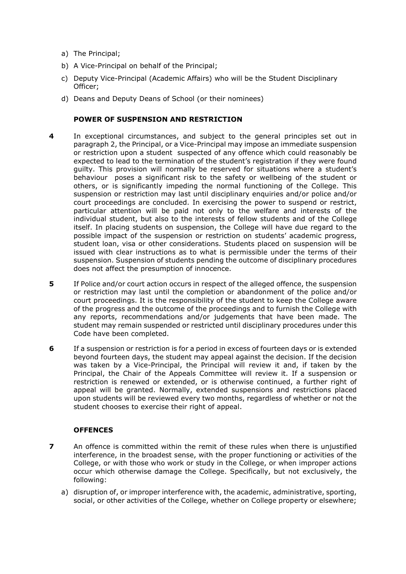- a) The Principal;
- b) A Vice-Principal on behalf of the Principal;
- c) Deputy Vice-Principal (Academic Affairs) who will be the Student Disciplinary Officer;
- d) Deans and Deputy Deans of School (or their nominees)

## **POWER OF SUSPENSION AND RESTRICTION**

- **4** In exceptional circumstances, and subject to the general principles set out in paragraph [2,](#page-0-0) the Principal, or a Vice-Principal may impose an immediate suspension or restriction upon a student suspected of any offence which could reasonably be expected to lead to the termination of the student's registration if they were found guilty. This provision will normally be reserved for situations where a student's behaviour poses a significant risk to the safety or wellbeing of the student or others, or is significantly impeding the normal functioning of the College. This suspension or restriction may last until disciplinary enquiries and/or police and/or court proceedings are concluded. In exercising the power to suspend or restrict, particular attention will be paid not only to the welfare and interests of the individual student, but also to the interests of fellow students and of the College itself. In placing students on suspension, the College will have due regard to the possible impact of the suspension or restriction on students' academic progress, student loan, visa or other considerations. Students placed on suspension will be issued with clear instructions as to what is permissible under the terms of their suspension. Suspension of students pending the outcome of disciplinary procedures does not affect the presumption of innocence.
- **5** If Police and/or court action occurs in respect of the alleged offence, the suspension or restriction may last until the completion or abandonment of the police and/or court proceedings. It is the responsibility of the student to keep the College aware of the progress and the outcome of the proceedings and to furnish the College with any reports, recommendations and/or judgements that have been made. The student may remain suspended or restricted until disciplinary procedures under this Code have been completed.
- **6** If a suspension or restriction is for a period in excess of fourteen days or is extended beyond fourteen days, the student may appeal against the decision. If the decision was taken by a Vice-Principal, the Principal will review it and, if taken by the Principal, the Chair of the Appeals Committee will review it. If a suspension or restriction is renewed or extended, or is otherwise continued, a further right of appeal will be granted. Normally, extended suspensions and restrictions placed upon students will be reviewed every two months, regardless of whether or not the student chooses to exercise their right of appeal.

## **OFFENCES**

- **7** An offence is committed within the remit of these rules when there is unjustified interference, in the broadest sense, with the proper functioning or activities of the College, or with those who work or study in the College, or when improper actions occur which otherwise damage the College. Specifically, but not exclusively, the following:
	- a) disruption of, or improper interference with, the academic, administrative, sporting, social, or other activities of the College, whether on College property or elsewhere;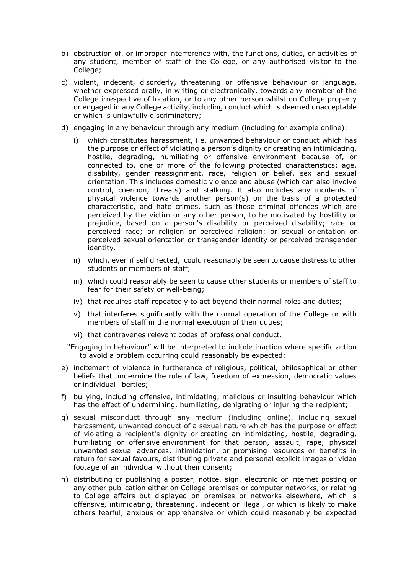- b) obstruction of, or improper interference with, the functions, duties, or activities of any student, member of staff of the College, or any authorised visitor to the College;
- c) violent, indecent, disorderly, threatening or offensive behaviour or language, whether expressed orally, in writing or electronically, towards any member of the College irrespective of location, or to any other person whilst on College property or engaged in any College activity, including conduct which is deemed unacceptable or which is unlawfully discriminatory;
- d) engaging in any behaviour through any medium (including for example online):
	- i) which constitutes harassment, i.e. unwanted behaviour or conduct which has the purpose or effect of violating a person's dignity or creating an intimidating, hostile, degrading, humiliating or offensive environment because of, or connected to, one or more of the following protected characteristics: age, disability, gender reassignment, race, religion or belief, sex and sexual orientation. This includes domestic violence and abuse (which can also involve control, coercion, threats) and stalking. It also includes any incidents of physical violence towards another person(s) on the basis of a protected characteristic, and hate crimes, such as those criminal offences which are perceived by the victim or any other person, to be motivated by hostility or prejudice, based on a person's disability or perceived disability; race or perceived race; or religion or perceived religion; or sexual orientation or perceived sexual orientation or transgender identity or perceived transgender identity.
	- ii) which, even if self directed, could reasonably be seen to cause distress to other students or members of staff;
	- iii) which could reasonably be seen to cause other students or members of staff to fear for their safety or well-being;
	- iv) that requires staff repeatedly to act beyond their normal roles and duties;
	- v) that interferes significantly with the normal operation of the College or with members of staff in the normal execution of their duties;
	- vi) that contravenes relevant codes of professional conduct.

"Engaging in behaviour" will be interpreted to include inaction where specific action to avoid a problem occurring could reasonably be expected;

- e) incitement of violence in furtherance of religious, political, philosophical or other beliefs that undermine the rule of law, freedom of expression, democratic values or individual liberties;
- f) bullying, including offensive, intimidating, malicious or insulting behaviour which has the effect of undermining, humiliating, denigrating or injuring the recipient;
- g) sexual misconduct through any medium (including online), including sexual harassment, unwanted conduct of a sexual nature which has the purpose or effect of violating a recipient's dignity or creating an intimidating, hostile, degrading, humiliating or offensive environment for that person, assault, rape, physical unwanted sexual advances, intimidation, or promising resources or benefits in return for sexual favours, distributing private and personal explicit images or video footage of an individual without their consent;
- h) distributing or publishing a poster, notice, sign, electronic or internet posting or any other publication either on College premises or computer networks, or relating to College affairs but displayed on premises or networks elsewhere, which is offensive, intimidating, threatening, indecent or illegal, or which is likely to make others fearful, anxious or apprehensive or which could reasonably be expected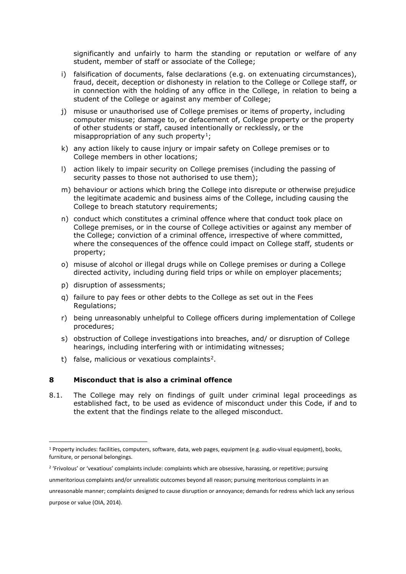significantly and unfairly to harm the standing or reputation or welfare of any student, member of staff or associate of the College;

- i) falsification of documents, false declarations (e.g. on extenuating circumstances), fraud, deceit, deception or dishonesty in relation to the College or College staff, or in connection with the holding of any office in the College, in relation to being a student of the College or against any member of College;
- j) misuse or unauthorised use of College premises or items of property, including computer misuse; damage to, or defacement of, College property or the property of other students or staff, caused intentionally or recklessly, or the misappropriation of any such property<sup>[1](#page-4-0)</sup>;
- k) any action likely to cause injury or impair safety on College premises or to College members in other locations;
- l) action likely to impair security on College premises (including the passing of security passes to those not authorised to use them);
- m) behaviour or actions which bring the College into disrepute or otherwise prejudice the legitimate academic and business aims of the College, including causing the College to breach statutory requirements;
- n) conduct which constitutes a criminal offence where that conduct took place on College premises, or in the course of College activities or against any member of the College; conviction of a criminal offence, irrespective of where committed, where the consequences of the offence could impact on College staff, students or property;
- o) misuse of alcohol or illegal drugs while on College premises or during a College directed activity, including during field trips or while on employer placements;
- p) disruption of assessments;
- q) failure to pay fees or other debts to the College as set out in the Fees Regulations;
- r) being unreasonably unhelpful to College officers during implementation of College procedures;
- s) obstruction of College investigations into breaches, and/ or disruption of College hearings, including interfering with or intimidating witnesses;
- t) false, malicious or vexatious complaints<sup>[2](#page-4-1)</sup>.

### **8 Misconduct that is also a criminal offence**

8.1. The College may rely on findings of guilt under criminal legal proceedings as established fact, to be used as evidence of misconduct under this Code, if and to the extent that the findings relate to the alleged misconduct.

<span id="page-4-0"></span><sup>1</sup> Property includes: facilities, computers, software, data, web pages, equipment (e.g. audio-visual equipment), books, furniture, or personal belongings.

<span id="page-4-1"></span><sup>&</sup>lt;sup>2</sup> 'Frivolous' or 'vexatious' complaints include: complaints which are obsessive, harassing, or repetitive; pursuing

unmeritorious complaints and/or unrealistic outcomes beyond all reason; pursuing meritorious complaints in an

unreasonable manner; complaints designed to cause disruption or annoyance; demands for redress which lack any serious purpose or value (OIA, 2014).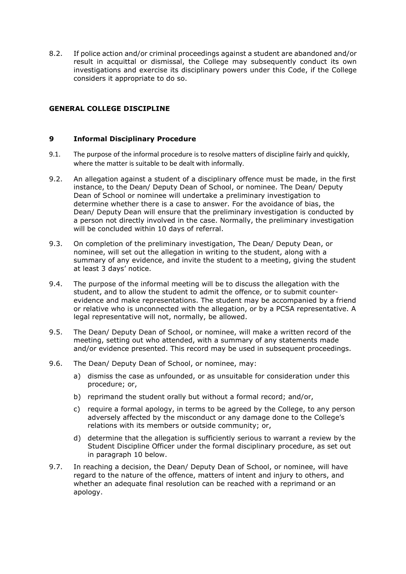8.2. If police action and/or criminal proceedings against a student are abandoned and/or result in acquittal or dismissal, the College may subsequently conduct its own investigations and exercise its disciplinary powers under this Code, if the College considers it appropriate to do so.

# **GENERAL COLLEGE DISCIPLINE**

## **9 Informal Disciplinary Procedure**

- 9.1. The purpose of the informal procedure is to resolve matters of discipline fairly and quickly, where the matter is suitable to be dealt with informally.
- 9.2. An allegation against a student of a disciplinary offence must be made, in the first instance, to the Dean/ Deputy Dean of School, or nominee. The Dean/ Deputy Dean of School or nominee will undertake a preliminary investigation to determine whether there is a case to answer. For the avoidance of bias, the Dean/ Deputy Dean will ensure that the preliminary investigation is conducted by a person not directly involved in the case. Normally, the preliminary investigation will be concluded within 10 days of referral.
- 9.3. On completion of the preliminary investigation, The Dean/ Deputy Dean, or nominee, will set out the allegation in writing to the student, along with a summary of any evidence, and invite the student to a meeting, giving the student at least 3 days' notice.
- 9.4. The purpose of the informal meeting will be to discuss the allegation with the student, and to allow the student to admit the offence, or to submit counterevidence and make representations. The student may be accompanied by a friend or relative who is unconnected with the allegation, or by a PCSA representative. A legal representative will not, normally, be allowed.
- 9.5. The Dean/ Deputy Dean of School, or nominee, will make a written record of the meeting, setting out who attended, with a summary of any statements made and/or evidence presented. This record may be used in subsequent proceedings.
- <span id="page-5-0"></span>9.6. The Dean/ Deputy Dean of School, or nominee, may:
	- a) dismiss the case as unfounded, or as unsuitable for consideration under this procedure; or,
	- b) reprimand the student orally but without a formal record; and/or,
	- c) require a formal apology, in terms to be agreed by the College, to any person adversely affected by the misconduct or any damage done to the College's relations with its members or outside community; or,
	- d) determine that the allegation is sufficiently serious to warrant a review by the Student Discipline Officer under the formal disciplinary procedure, as set out in paragraph [10](#page-6-0) below.
- 9.7. In reaching a decision, the Dean/ Deputy Dean of School, or nominee, will have regard to the nature of the offence, matters of intent and injury to others, and whether an adequate final resolution can be reached with a reprimand or an apology.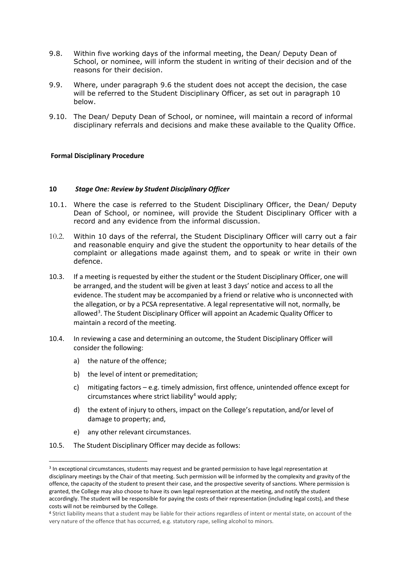- 9.8. Within five working days of the informal meeting, the Dean/ Deputy Dean of School, or nominee, will inform the student in writing of their decision and of the reasons for their decision.
- 9.9. Where, under paragraph [9.6](#page-5-0) the student does not accept the decision, the case will be referred to the Student Disciplinary Officer, as set out in paragraph [10](#page-6-0) below.
- 9.10. The Dean/ Deputy Dean of School, or nominee, will maintain a record of informal disciplinary referrals and decisions and make these available to the Quality Office.

## **Formal Disciplinary Procedure**

#### <span id="page-6-0"></span>**10** *Stage One: Review by Student Disciplinary Officer*

- 10.1. Where the case is referred to the Student Disciplinary Officer, the Dean/ Deputy Dean of School, or nominee, will provide the Student Disciplinary Officer with a record and any evidence from the informal discussion.
- 10.2. Within 10 days of the referral, the Student Disciplinary Officer will carry out a fair and reasonable enquiry and give the student the opportunity to hear details of the complaint or allegations made against them, and to speak or write in their own defence.
- 10.3. If a meeting is requested by either the student or the Student Disciplinary Officer, one will be arranged, and the student will be given at least 3 days' notice and access to all the evidence. The student may be accompanied by a friend or relative who is unconnected with the allegation, or by a PCSA representative. A legal representative will not, normally, be allowed<sup>[3](#page-6-1)</sup>. The Student Disciplinary Officer will appoint an Academic Quality Officer to maintain a record of the meeting.
- 10.4. In reviewing a case and determining an outcome, the Student Disciplinary Officer will consider the following:
	- a) the nature of the offence;
	- b) the level of intent or premeditation;
	- c) mitigating factors e.g. timely admission, first offence, unintended offence except for circumstances where strict liability<sup>[4](#page-6-2)</sup> would apply;
	- d) the extent of injury to others, impact on the College's reputation, and/or level of damage to property; and,
	- e) any other relevant circumstances.
- 10.5. The Student Disciplinary Officer may decide as follows:

<span id="page-6-1"></span><sup>3</sup> In exceptional circumstances, students may request and be granted permission to have legal representation at disciplinary meetings by the Chair of that meeting. Such permission will be informed by the complexity and gravity of the offence, the capacity of the student to present their case, and the prospective severity of sanctions. Where permission is granted, the College may also choose to have its own legal representation at the meeting, and notify the student accordingly. The student will be responsible for paying the costs of their representation (including legal costs), and these costs will not be reimbursed by the College.

<span id="page-6-2"></span><sup>4</sup> Strict liability means that a student may be liable for their actions regardless of intent or mental state, on account of the very nature of the offence that has occurred, e.g. statutory rape, selling alcohol to minors.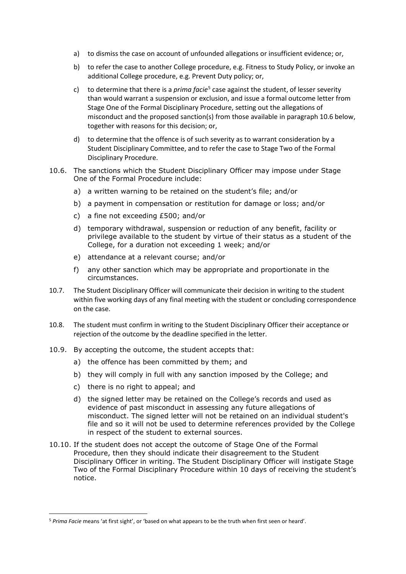- a) to dismiss the case on account of unfounded allegations or insufficient evidence; or,
- b) to refer the case to another College procedure, e.g. Fitness to Study Policy, or invoke an additional College procedure, e.g. Prevent Duty policy; or,
- c) to determine that there is a *prima facie*[5](#page-7-1) case against the student, of lesser severity than would warrant a suspension or exclusion, and issue a formal outcome letter from Stage One of the Formal Disciplinary Procedure, setting out the allegations of misconduct and the proposed sanction(s) from those available in paragraph [10.6](#page-7-0) below, together with reasons for this decision; or,
- <span id="page-7-0"></span>d) to determine that the offence is of such severity as to warrant consideration by a Student Disciplinary Committee, and to refer the case to Stage Two of the Formal Disciplinary Procedure.
- 10.6. The sanctions which the Student Disciplinary Officer may impose under Stage One of the Formal Procedure include:
	- a) a written warning to be retained on the student's file; and/or
	- b) a payment in compensation or restitution for damage or loss; and/or
	- c) a fine not exceeding £500; and/or
	- d) temporary withdrawal, suspension or reduction of any benefit, facility or privilege available to the student by virtue of their status as a student of the College, for a duration not exceeding 1 week; and/or
	- e) attendance at a relevant course; and/or
	- f) any other sanction which may be appropriate and proportionate in the circumstances.
- 10.7. The Student Disciplinary Officer will communicate their decision in writing to the student within five working days of any final meeting with the student or concluding correspondence on the case.
- 10.8. The student must confirm in writing to the Student Disciplinary Officer their acceptance or rejection of the outcome by the deadline specified in the letter.
- 10.9. By accepting the outcome, the student accepts that:
	- a) the offence has been committed by them; and
	- b) they will comply in full with any sanction imposed by the College; and
	- c) there is no right to appeal; and
	- d) the signed letter may be retained on the College's records and used as evidence of past misconduct in assessing any future allegations of misconduct. The signed letter will not be retained on an individual student's file and so it will not be used to determine references provided by the College in respect of the student to external sources.
- 10.10. If the student does not accept the outcome of Stage One of the Formal Procedure, then they should indicate their disagreement to the Student Disciplinary Officer in writing. The Student Disciplinary Officer will instigate Stage Two of the Formal Disciplinary Procedure within 10 days of receiving the student's notice.

<span id="page-7-1"></span><sup>5</sup> *Prima Facie* means 'at first sight', or 'based on what appears to be the truth when first seen or heard'.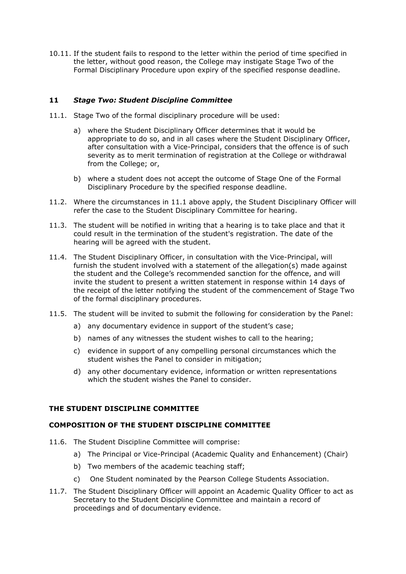10.11. If the student fails to respond to the letter within the period of time specified in the letter, without good reason, the College may instigate Stage Two of the Formal Disciplinary Procedure upon expiry of the specified response deadline.

## **11** *Stage Two: Student Discipline Committee*

- <span id="page-8-0"></span>11.1. Stage Two of the formal disciplinary procedure will be used:
	- a) where the Student Disciplinary Officer determines that it would be appropriate to do so, and in all cases where the Student Disciplinary Officer, after consultation with a Vice-Principal, considers that the offence is of such severity as to merit termination of registration at the College or withdrawal from the College; or,
	- b) where a student does not accept the outcome of Stage One of the Formal Disciplinary Procedure by the specified response deadline.
- 11.2. Where the circumstances in [11.1](#page-8-0) above apply, the Student Disciplinary Officer will refer the case to the Student Disciplinary Committee for hearing.
- 11.3. The student will be notified in writing that a hearing is to take place and that it could result in the termination of the student's registration. The date of the hearing will be agreed with the student.
- 11.4. The Student Disciplinary Officer, in consultation with the Vice-Principal, will furnish the student involved with a statement of the allegation(s) made against the student and the College's recommended sanction for the offence, and will invite the student to present a written statement in response within 14 days of the receipt of the letter notifying the student of the commencement of Stage Two of the formal disciplinary procedures.
- 11.5. The student will be invited to submit the following for consideration by the Panel:
	- a) any documentary evidence in support of the student's case;
	- b) names of any witnesses the student wishes to call to the hearing;
	- c) evidence in support of any compelling personal circumstances which the student wishes the Panel to consider in mitigation;
	- d) any other documentary evidence, information or written representations which the student wishes the Panel to consider.

## **THE STUDENT DISCIPLINE COMMITTEE**

## **COMPOSITION OF THE STUDENT DISCIPLINE COMMITTEE**

- 11.6. The Student Discipline Committee will comprise:
	- a) The Principal or Vice-Principal (Academic Quality and Enhancement) (Chair)
	- b) Two members of the academic teaching staff;
	- c) One Student nominated by the Pearson College Students Association.
- 11.7. The Student Disciplinary Officer will appoint an Academic Quality Officer to act as Secretary to the Student Discipline Committee and maintain a record of proceedings and of documentary evidence.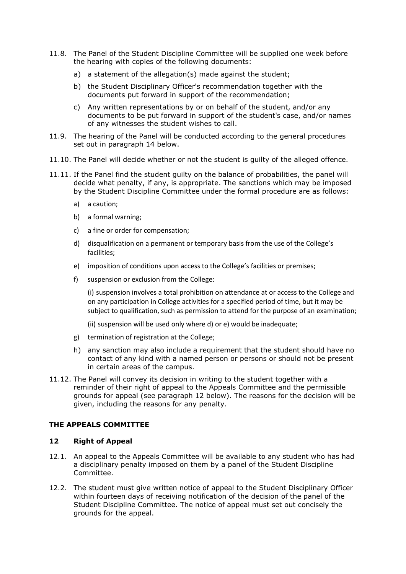- 11.8. The Panel of the Student Discipline Committee will be supplied one week before the hearing with copies of the following documents:
	- a) a statement of the allegation(s) made against the student;
	- b) the Student Disciplinary Officer's recommendation together with the documents put forward in support of the recommendation;
	- c) Any written representations by or on behalf of the student, and/or any documents to be put forward in support of the student's case, and/or names of any witnesses the student wishes to call.
- 11.9. The hearing of the Panel will be conducted according to the general procedures set out in paragraph [14](#page-11-0) below.
- 11.10. The Panel will decide whether or not the student is guilty of the alleged offence.
- 11.11. If the Panel find the student guilty on the balance of probabilities, the panel will decide what penalty, if any, is appropriate. The sanctions which may be imposed by the Student Discipline Committee under the formal procedure are as follows:
	- a) a caution;
	- b) a formal warning;
	- c) a fine or order for compensation;
	- d) disqualification on a permanent or temporary basis from the use of the College's facilities;
	- e) imposition of conditions upon access to the College's facilities or premises;
	- f) suspension or exclusion from the College:

<span id="page-9-1"></span><span id="page-9-0"></span>(i) suspension involves a total prohibition on attendance at or access to the College and on any participation in College activities for a specified period of time, but it may be subject to qualification, such as permission to attend for the purpose of an examination;

(ii) suspension will be used only wher[e d\)](#page-9-0) o[r e\)](#page-9-1) would be inadequate;

- g) termination of registration at the College;
- h) any sanction may also include a requirement that the student should have no contact of any kind with a named person or persons or should not be present in certain areas of the campus.
- 11.12. The Panel will convey its decision in writing to the student together with a reminder of their right of appeal to the Appeals Committee and the permissible grounds for appeal (see paragraph [12](#page-9-2) below). The reasons for the decision will be given, including the reasons for any penalty.

## **THE APPEALS COMMITTEE**

## <span id="page-9-2"></span>**12 Right of Appeal**

- 12.1. An appeal to the Appeals Committee will be available to any student who has had a disciplinary penalty imposed on them by a panel of the Student Discipline Committee.
- 12.2. The student must give written notice of appeal to the Student Disciplinary Officer within fourteen days of receiving notification of the decision of the panel of the Student Discipline Committee. The notice of appeal must set out concisely the grounds for the appeal.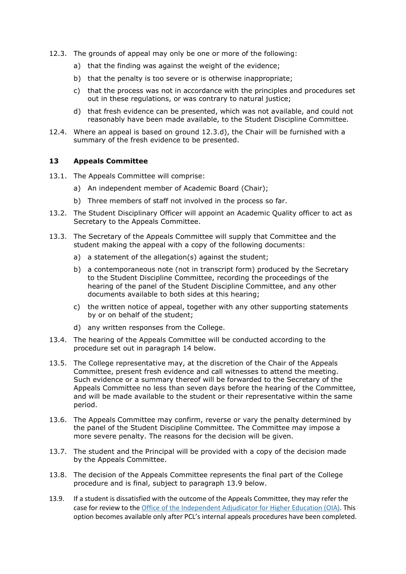- 12.3. The grounds of appeal may only be one or more of the following:
	- a) that the finding was against the weight of the evidence;
	- b) that the penalty is too severe or is otherwise inappropriate;
	- c) that the process was not in accordance with the principles and procedures set out in these regulations, or was contrary to natural justice;
	- d) that fresh evidence can be presented, which was not available, and could not reasonably have been made available, to the Student Discipline Committee.
- <span id="page-10-0"></span>12.4. Where an appeal is based on ground [12.3.d\),](#page-10-0) the Chair will be furnished with a summary of the fresh evidence to be presented.

## **13 Appeals Committee**

- 13.1. The Appeals Committee will comprise:
	- a) An independent member of Academic Board (Chair);
	- b) Three members of staff not involved in the process so far.
- 13.2. The Student Disciplinary Officer will appoint an Academic Quality officer to act as Secretary to the Appeals Committee.
- 13.3. The Secretary of the Appeals Committee will supply that Committee and the student making the appeal with a copy of the following documents:
	- a) a statement of the allegation(s) against the student;
	- b) a contemporaneous note (not in transcript form) produced by the Secretary to the Student Discipline Committee, recording the proceedings of the hearing of the panel of the Student Discipline Committee, and any other documents available to both sides at this hearing;
	- c) the written notice of appeal, together with any other supporting statements by or on behalf of the student;
	- d) any written responses from the College.
- 13.4. The hearing of the Appeals Committee will be conducted according to the procedure set out in paragraph [14](#page-11-0) below.
- 13.5. The College representative may, at the discretion of the Chair of the Appeals Committee, present fresh evidence and call witnesses to attend the meeting. Such evidence or a summary thereof will be forwarded to the Secretary of the Appeals Committee no less than seven days before the hearing of the Committee, and will be made available to the student or their representative within the same period.
- 13.6. The Appeals Committee may confirm, reverse or vary the penalty determined by the panel of the Student Discipline Committee. The Committee may impose a more severe penalty. The reasons for the decision will be given.
- 13.7. The student and the Principal will be provided with a copy of the decision made by the Appeals Committee.
- 13.8. The decision of the Appeals Committee represents the final part of the College procedure and is final, subject to paragraph [13.9](#page-11-1) below.
- 13.9. If a student is dissatisfied with the outcome of the Appeals Committee, they may refer the case for review to th[e Office of the Independent Adjudicator for Higher Education \(OIA\).](http://www.oiahe.org.uk/) This option becomes available only after PCL's internal appeals procedures have been completed.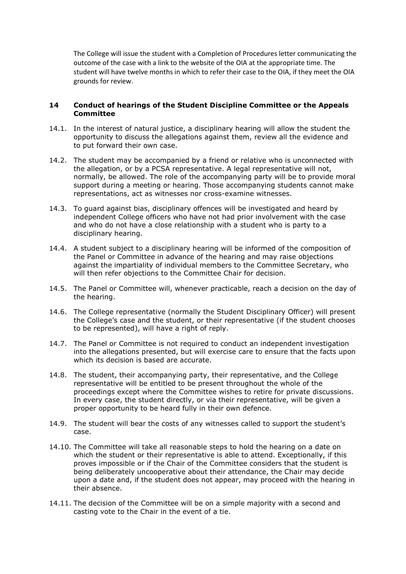<span id="page-11-1"></span>The College will issue the student with a Completion of Procedures letter communicating the outcome of the case with a link to the website of the OIA at the appropriate time. The student will have twelve months in which to refer their case to the OIA, if they meet the OIA grounds for review.

## <span id="page-11-0"></span>**14 Conduct of hearings of the Student Discipline Committee or the Appeals Committee**

- 14.1. In the interest of natural justice, a disciplinary hearing will allow the student the opportunity to discuss the allegations against them, review all the evidence and to put forward their own case.
- 14.2. The student may be accompanied by a friend or relative who is unconnected with the allegation, or by a PCSA representative. A legal representative will not, normally, be allowed. The role of the accompanying party will be to provide moral support during a meeting or hearing. Those accompanying students cannot make representations, act as witnesses nor cross-examine witnesses.
- 14.3. To guard against bias, disciplinary offences will be investigated and heard by independent College officers who have not had prior involvement with the case and who do not have a close relationship with a student who is party to a disciplinary hearing.
- 14.4. A student subject to a disciplinary hearing will be informed of the composition of the Panel or Committee in advance of the hearing and may raise objections against the impartiality of individual members to the Committee Secretary, who will then refer objections to the Committee Chair for decision.
- 14.5. The Panel or Committee will, whenever practicable, reach a decision on the day of the hearing.
- 14.6. The College representative (normally the Student Disciplinary Officer) will present the College's case and the student, or their representative (if the student chooses to be represented), will have a right of reply.
- 14.7. The Panel or Committee is not required to conduct an independent investigation into the allegations presented, but will exercise care to ensure that the facts upon which its decision is based are accurate.
- 14.8. The student, their accompanying party, their representative, and the College representative will be entitled to be present throughout the whole of the proceedings except where the Committee wishes to retire for private discussions. In every case, the student directly, or via their representative, will be given a proper opportunity to be heard fully in their own defence.
- 14.9. The student will bear the costs of any witnesses called to support the student's case.
- 14.10. The Committee will take all reasonable steps to hold the hearing on a date on which the student or their representative is able to attend. Exceptionally, if this proves impossible or if the Chair of the Committee considers that the student is being deliberately uncooperative about their attendance, the Chair may decide upon a date and, if the student does not appear, may proceed with the hearing in their absence.
- 14.11. The decision of the Committee will be on a simple majority with a second and casting vote to the Chair in the event of a tie.